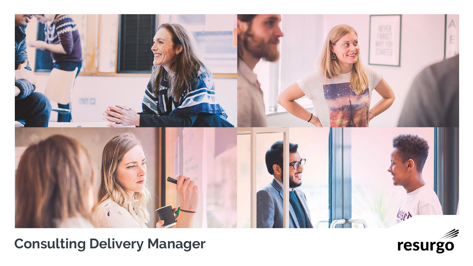

# **Consulting Delivery Manager**

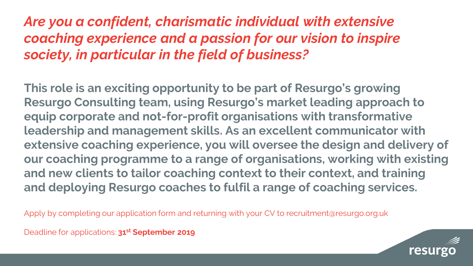## *Are you a confident, charismatic individual with extensive coaching experience and a passion for our vision to inspire society, in particular in the field of business?*

**This role is an exciting opportunity to be part of Resurgo's growing Resurgo Consulting team, using Resurgo's market leading approach to equip corporate and not-for-profit organisations with transformative leadership and management skills. As an excellent communicator with extensive coaching experience, you will oversee the design and delivery of our coaching programme to a range of organisations, working with existing and new clients to tailor coaching context to their context, and training and deploying Resurgo coaches to fulfil a range of coaching services.**

Apply by completing our application form and returning with your CV to recruitment@resurgo.org.uk

Deadline for applications: **31st September 2019**

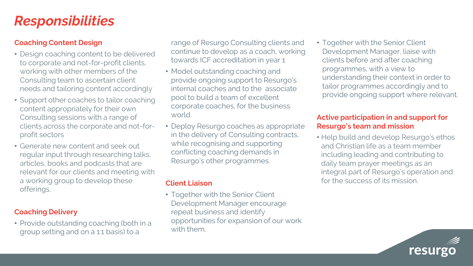## *Responsibilities*

#### **Coaching Content Design**

- Design coaching content to be delivered to corporate and not-for-profit clients, working with other members of the Consulting team to ascertain client needs and tailoring content accordingly
- Support other coaches to tailor coaching content appropriately for their own Consulting sessions with a range of clients across the corporate and not-forprofit sectors
- Generate new content and seek out regular input through researching talks, articles, books and podcasts that are relevant for our clients and meeting with a working group to develop these offerings.

#### **Coaching Delivery**

• Provide outstanding coaching (both in a group setting and on a 1:1 basis) to a

range of Resurgo Consulting clients and continue to develop as a coach, working towards ICF accreditation in year 1

- Model outstanding coaching and provide ongoing support to Resurgo's internal coaches and to the associate pool to build a team of excellent corporate coaches, for the business world.
- Deploy Resurgo coaches as appropriate in the delivery of Consulting contracts, while recognising and supporting conflicting coaching demands in Resurgo's other programmes.

#### **Client Liaison**

• Together with the Senior Client Development Manager encourage repeat business and identify opportunities for expansion of our work with them.

• Together with the Senior Client Development Manager, liaise with clients before and after coaching programmes, with a view to understanding their context in order to tailor programmes accordingly and to provide ongoing support where relevant.

#### **Active participation in and support for Resurgo's team and mission**

• Help build and develop Resurgo's ethos and Christian life as a team member including leading and contributing to daily team prayer meetings as an integral part of Resurgo's operation and for the success of its mission.